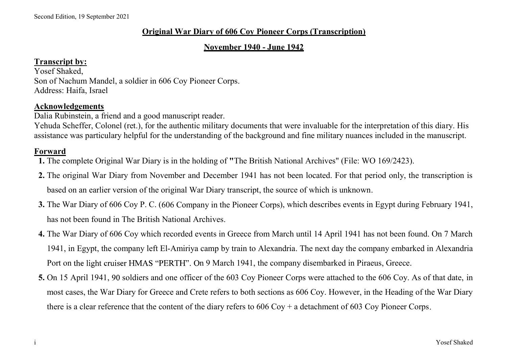# Original War Diary of 606 Coy Pioneer Corps (Transcription)

### November 1940 - June 1942

### Transcript by:

Yosef Shaked, Son of Nachum Mandel, a soldier in 606 Coy Pioneer Corps. Address: Haifa, Israel

### Acknowledgements

Dalia Rubinstein, a friend and a good manuscript reader.

Yehuda Scheffer, Colonel (ret.), for the authentic military documents that were invaluable for the interpretation of this diary. His assistance was particulary helpful for the understanding of the background and fine military nuances included in the manuscript.

### Forward

- 1. The complete Original War Diary is in the holding of "The British National Archives" (File: WO 169/2423).
- 2. The original War Diary from November and December 1941 has not been located. For that period only, the transcription is based on an earlier version of the original War Diary transcript, the source of which is unknown.
- 3. The War Diary of 606 Coy P. C. (606 Company in the Pioneer Corps), which describes events in Egypt during February 1941, has not been found in The British National Archives.
- 4. The War Diary of 606 Coy which recorded events in Greece from March until 14 April 1941 has not been found. On 7 March 1941, in Egypt, the company left El-Amiriya camp by train to Alexandria. The next day the company embarked in Alexandria Port on the light cruiser HMAS "PERTH". On 9 March 1941, the company disembarked in Piraeus, Greece. Follomal Scheffer, Colonel (ret.), for the authentic military documents that were invaluable for the interpretation of this diary. His sistance was particulary helpful for the understanding of the background and fine mili
- based on an carlier version of the original War Diary transcript, the source of which is unknown.<br>
3. The War Diary of 606 Coy P. C. (606 Company in the Pioneer Corps), which describes events in Egypt during February 1941 most cases, the War Diary for Greece and Crete refers to both sections as 606 Coy. However, in the Heading of the War Diary there is a clear reference that the content of the diary refers to  $606 \text{ Cov} + \text{a}$  detachment of  $603 \text{ Cov}$  Pioneer Corps.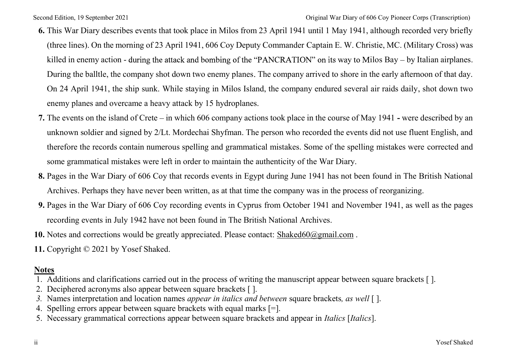- Second Edition, 19 September 2021<br> **6.** This War Diary describes events that took place in Milos from 23 April 1941 until 1 May 1941, although recorded very briefly<br>
(three lines). On the morning of 23 April 1941, 606 Coy 6. This War Diary describes events that took place in Milos from 23 April 1941 until 1 May 1941, although recorded very briefly (three lines). On the morning of 23 April 1941, 606 Coy Deputy Commander Captain E. W. Christie, MC. (Military Cross) was killed in enemy action - during the attack and bombing of the "PANCRATION" on its way to Milos Bay – by Italian airplanes. During the balltle, the company shot down two enemy planes. The company arrived to shore in the early afternoon of that day. On 24 April 1941, the ship sunk. While staying in Milos Island, the company endured several air raids daily, shot down two enemy planes and overcame a heavy attack by 15 hydroplanes. original War Diany of 606 Coy Froncer Cops (Transcription)<br>
This War Diany describes events that took place in Milos from 23 April 1941 until 1 May 1941, although recorded very briefly<br>
(three lines). On the morning of 23
- 7. The events on the island of Crete in which 606 company actions took place in the course of May 1941 were described by an therefore the records contain numerous spelling and grammatical mistakes. Some of the spelling mistakes were corrected and some grammatical mistakes were left in order to maintain the authenticity of the War Diary. enemy planes and overcame a heavy attack by 15 hydroplanes.<br>
7. The events on the island of Crete – in which 606 company actions took place in<br>
unknown soldier and signed by 2/Lt. Mordechai Shyfman. The person who re<br>
the
- 8. Pages in the War Diary of 606 Coy that records events in Egypt during June 1941 has not been found in The British National Archives. Perhaps they have never been written, as at that time the company was in the process of reorganizing.
- Archives. Perhaps they have never been written, as at that time the company was in the process of reorganizing.<br>
9. Pages in the War Diary of 606 Coy recording events in Cyprus from October 1941 and November 1941, as well 9. Pages in the War Diary of 606 Coy recording events in Cyprus from October 1941 and November 1941, as well as the pages recording events in July 1942 have not been found in The British National Archives.
- 10. Notes and corrections would be greatly appreciated. Please contact: Shaked60@gmail.com.
- 

## Notes

- 1. Additions and clarifications carried out in the process of writing the manuscript appear between square brackets [ ].
- 2. Deciphered acronyms also appear between square brackets [ ].
- 3. Names interpretation and location names *appear in italics and between* square brackets, *as well* [].
- 4. Spelling errors appear between square brackets with equal marks [=].
- 5. Necessary grammatical corrections appear between square brackets and appear in Italics [Italics].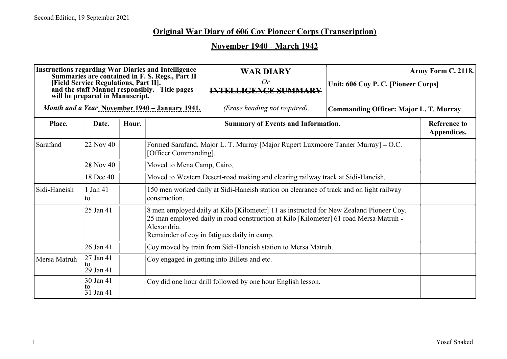# November 1940 - March 1942

|              |                                                                          |       |                                                                                                                                                                                                                                               | <b>Original War Diary of 606 Coy Pioneer Corps (Transcription)</b><br><b>November 1940 - March 1942</b> |                                               |                                    |  |  |
|--------------|--------------------------------------------------------------------------|-------|-----------------------------------------------------------------------------------------------------------------------------------------------------------------------------------------------------------------------------------------------|---------------------------------------------------------------------------------------------------------|-----------------------------------------------|------------------------------------|--|--|
|              | [Field Service Regulations, Part II].<br>will be prepared in Manuscript. |       | <b>Instructions regarding War Diaries and Intelligence</b><br>Summaries are contained in F. S. Regs., Part II<br>and the staff Manuel responsibly. Title pages                                                                                | <b>WAR DIARY</b><br>Or<br><b>INTELLIGENCE SUMMARY</b>                                                   | Unit: 606 Coy P. C. [Pioneer Corps]           | Army Form C. 2118.                 |  |  |
|              |                                                                          |       | Month and a Year November 1940 - January 1941.                                                                                                                                                                                                | (Erase heading not required).                                                                           | <b>Commanding Officer: Major L. T. Murray</b> |                                    |  |  |
| Place.       | Date.                                                                    | Hour. |                                                                                                                                                                                                                                               | <b>Summary of Events and Information.</b>                                                               |                                               | <b>Reference to</b><br>Appendices. |  |  |
| Sarafand     | 22 Nov 40                                                                |       | [Officer Commanding].                                                                                                                                                                                                                         | Formed Sarafand. Major L. T. Murray [Major Rupert Luxmoore Tanner Murray] - O.C.                        |                                               |                                    |  |  |
|              | 28 Nov 40                                                                |       |                                                                                                                                                                                                                                               | Moved to Mena Camp, Cairo.                                                                              |                                               |                                    |  |  |
|              | 18 Dec 40                                                                |       |                                                                                                                                                                                                                                               | Moved to Western Desert-road making and clearing railway track at Sidi-Haneish.                         |                                               |                                    |  |  |
| Sidi-Haneish | 1 Jan 41<br>to                                                           |       | construction.                                                                                                                                                                                                                                 | 150 men worked daily at Sidi-Haneish station on clearance of track and on light railway                 |                                               |                                    |  |  |
|              | 25 Jan 41                                                                |       | 8 men employed daily at Kilo [Kilometer] 11 as instructed for New Zealand Pioneer Coy.<br>25 man employed daily in road construction at Kilo [Kilometer] 61 road Mersa Matruh -<br>Alexandria.<br>Remainder of coy in fatigues daily in camp. |                                                                                                         |                                               |                                    |  |  |
|              | 26 Jan 41                                                                |       |                                                                                                                                                                                                                                               | Coy moved by train from Sidi-Haneish station to Mersa Matruh.                                           |                                               |                                    |  |  |
| Mersa Matruh | 27 Jan 41<br>29 Jan 41                                                   |       |                                                                                                                                                                                                                                               | Coy engaged in getting into Billets and etc.                                                            |                                               |                                    |  |  |
|              | 30 Jan 41<br>to<br>31 Jan 41                                             |       |                                                                                                                                                                                                                                               | Coy did one hour drill followed by one hour English lesson.                                             |                                               |                                    |  |  |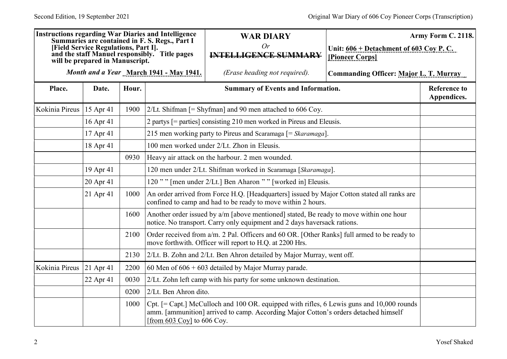|                |                                                                         |       | <b>Instructions regarding War Diaries and Intelligence</b>                                      | <b>WAR DIARY</b>                                                                                                                                                                 |                                                              | Army Form C. 2118.                 |
|----------------|-------------------------------------------------------------------------|-------|-------------------------------------------------------------------------------------------------|----------------------------------------------------------------------------------------------------------------------------------------------------------------------------------|--------------------------------------------------------------|------------------------------------|
|                | [Field Service Regulations, Part I].<br>will be prepared in Manuscript. |       | Summaries are contained in F. S. Regs., Part I<br>and the staff Manuel responsibly. Title pages | Or<br><b>INTELLIGENCE SUMMARY</b>                                                                                                                                                | Unit: $606 + Detachment of 603 Cov P. C.$<br>[Pioneer Corps] |                                    |
|                |                                                                         |       | Month and a Year March 1941 - May 1941.                                                         | (Erase heading not required).                                                                                                                                                    | Commanding Officer: Major L. T. Murray                       |                                    |
| Place.         | Date.                                                                   | Hour. |                                                                                                 | <b>Summary of Events and Information.</b>                                                                                                                                        |                                                              | <b>Reference to</b><br>Appendices. |
| Kokinia Pireus | 15 Apr 41                                                               | 1900  |                                                                                                 | 2/Lt. Shifman $[=$ Shyfman] and 90 men attached to 606 Coy.                                                                                                                      |                                                              |                                    |
|                | 16 Apr 41                                                               |       |                                                                                                 | 2 partys [= parties] consisting 210 men worked in Pireus and Eleusis.                                                                                                            |                                                              |                                    |
|                | $17$ Apr 41                                                             |       |                                                                                                 | 215 men working party to Pireus and Scaramaga [= Skaramaga].                                                                                                                     |                                                              |                                    |
|                | 18 Apr 41                                                               |       |                                                                                                 | 100 men worked under 2/Lt. Zhon in Eleusis.                                                                                                                                      |                                                              |                                    |
|                |                                                                         | 0930  |                                                                                                 | Heavy air attack on the harbour. 2 men wounded.                                                                                                                                  |                                                              |                                    |
|                | 19 Apr 41                                                               |       | 120 men under 2/Lt. Shifman worked in Scaramaga [Skaramaga].                                    |                                                                                                                                                                                  |                                                              |                                    |
|                | 20 Apr 41                                                               |       | 120"" [men under 2/Lt.] Ben Aharon "" [worked in] Eleusis.                                      |                                                                                                                                                                                  |                                                              |                                    |
|                | 21 Apr 41                                                               | 1000  | confined to camp and had to be ready to move within 2 hours.                                    | An order arrived from Force H.Q. [Headquarters] issued by Major Cotton stated all ranks are                                                                                      |                                                              |                                    |
|                |                                                                         | 1600  |                                                                                                 | Another order issued by a/m [above mentioned] stated, Be ready to move within one hour<br>notice. No transport. Carry only equipment and 2 days haversack rations.               |                                                              |                                    |
|                |                                                                         | 2100  |                                                                                                 | Order received from a/m. 2 Pal. Officers and 60 OR. [Other Ranks] full armed to be ready to<br>move forthwith. Officer will report to H.Q. at 2200 Hrs.                          |                                                              |                                    |
|                |                                                                         | 2130  |                                                                                                 | 2/Lt. B. Zohn and 2/Lt. Ben Ahron detailed by Major Murray, went off.                                                                                                            |                                                              |                                    |
| Kokinia Pireus | $ 21$ Apr 41                                                            | 2200  |                                                                                                 | $\vert$ 60 Men of 606 + 603 detailed by Major Murray parade.                                                                                                                     |                                                              |                                    |
|                | 22 Apr 41                                                               | 0030  |                                                                                                 | 2/Lt. Zohn left camp with his party for some unknown destination.                                                                                                                |                                                              |                                    |
|                |                                                                         | 0200  | 2/Lt. Ben Ahron dito.                                                                           |                                                                                                                                                                                  |                                                              |                                    |
|                |                                                                         | 1000  | $[from 603 Cov]$ to 606 Coy.                                                                    | Cpt. [= Capt.] McCulloch and 100 OR. equipped with rifles, 6 Lewis guns and 10,000 rounds<br>amm. [ammunition] arrived to camp. According Major Cotton's orders detached himself |                                                              |                                    |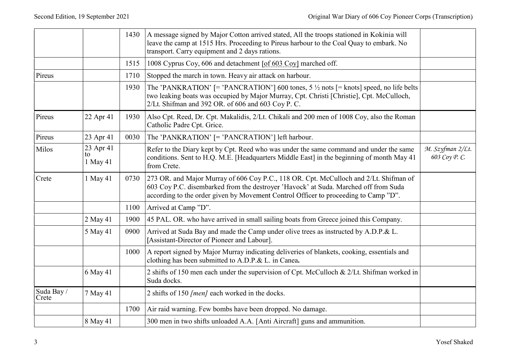|                     |                             |      |                                                                                                                                                                                                                                                                      | Original War Diary of 606 Coy Pioneer Corps (Transcription) |
|---------------------|-----------------------------|------|----------------------------------------------------------------------------------------------------------------------------------------------------------------------------------------------------------------------------------------------------------------------|-------------------------------------------------------------|
|                     |                             | 1430 | A message signed by Major Cotton arrived stated, All the troops stationed in Kokinia will<br>leave the camp at 1515 Hrs. Proceeding to Pireus harbour to the Coal Quay to embark. No<br>transport. Carry equipment and 2 days rations.                               |                                                             |
|                     |                             | 1515 | 1008 Cyprus Coy, 606 and detachment [of 603 Coy] marched off.                                                                                                                                                                                                        |                                                             |
| Pireus              |                             | 1710 | Stopped the march in town. Heavy air attack on harbour.                                                                                                                                                                                                              |                                                             |
|                     |                             | 1930 | The 'PANKRATION' [= 'PANCRATION'] 600 tones, $5\frac{1}{2}$ nots [= knots] speed, no life belts<br>two leaking boats was occupied by Major Murray, Cpt. Christi [Christie], Cpt. McCulloch,<br>2/Lt. Shifman and 392 OR. of 606 and 603 Coy P. C.                    |                                                             |
| Pireus              | 22 Apr 41                   | 1930 | Also Cpt. Reed, Dr. Cpt. Makalidis, 2/Lt. Chikali and 200 men of 1008 Coy, also the Roman<br>Catholic Padre Cpt. Grice.                                                                                                                                              |                                                             |
| Pireus              | 23 Apr 41                   | 0030 | The 'PANKRATION' [= 'PANCRATION'] left harbour.                                                                                                                                                                                                                      |                                                             |
| Milos               | 23 Apr 41<br>to<br>1 May 41 |      | Refer to the Diary kept by Cpt. Reed who was under the same command and under the same<br>conditions. Sent to H.Q. M.E. [Headquarters Middle East] in the beginning of month May 41<br>from Crete.                                                                   | M. Szyfman 2/Lt.<br>603 Соу Р. С.                           |
| Crete               | 1 May 41                    | 0730 | [273 OR. and Major Murray of 606 Coy P.C., 118 OR. Cpt. McCulloch and 2/Lt. Shifman of<br>603 Coy P.C. disembarked from the destroyer 'Havock' at Suda. Marched off from Suda<br>according to the order given by Movement Control Officer to proceeding to Camp "D". |                                                             |
|                     |                             | 1100 | Arrived at Camp "D".                                                                                                                                                                                                                                                 |                                                             |
|                     | 2 May 41                    | 1900 | 45 PAL. OR. who have arrived in small sailing boats from Greece joined this Company.                                                                                                                                                                                 |                                                             |
|                     | 5 May 41                    | 0900 | Arrived at Suda Bay and made the Camp under olive trees as instructed by A.D.P.& L.<br>[Assistant-Director of Pioneer and Labour].                                                                                                                                   |                                                             |
|                     |                             | 1000 | A report signed by Major Murray indicating deliveries of blankets, cooking, essentials and<br>clothing has been submitted to A.D.P.& L. in Canea.                                                                                                                    |                                                             |
|                     | 6 May 41                    |      | 2 shifts of 150 men each under the supervision of Cpt. McCulloch & 2/Lt. Shifman worked in<br>Suda docks.                                                                                                                                                            |                                                             |
| Suda Bay /<br>Crete | 7 May 41                    |      | 2 shifts of 150 [men] each worked in the docks.                                                                                                                                                                                                                      |                                                             |
|                     |                             | 1700 | Air raid warning. Few bombs have been dropped. No damage.                                                                                                                                                                                                            |                                                             |
|                     | 8 May 41                    |      | 300 men in two shifts unloaded A.A. [Anti Aircraft] guns and ammunition.                                                                                                                                                                                             |                                                             |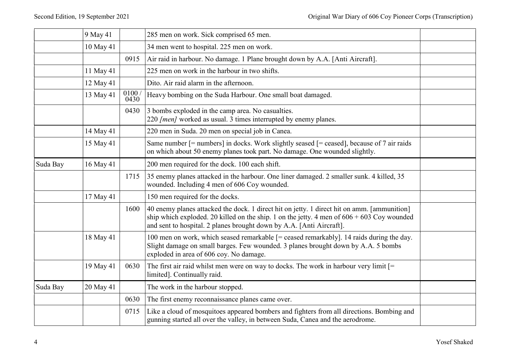| Second Edition, 19 September 2021 |            |                     |                                                                                                                                                                                                                                                                     |  |
|-----------------------------------|------------|---------------------|---------------------------------------------------------------------------------------------------------------------------------------------------------------------------------------------------------------------------------------------------------------------|--|
|                                   |            |                     | Original War Diary of 606 Coy Pioneer Corps (Transcription)                                                                                                                                                                                                         |  |
|                                   |            |                     |                                                                                                                                                                                                                                                                     |  |
|                                   | $9$ May 41 |                     | 285 men on work. Sick comprised 65 men.                                                                                                                                                                                                                             |  |
|                                   | 10 May 41  |                     | 34 men went to hospital. 225 men on work.                                                                                                                                                                                                                           |  |
|                                   | 11 May 41  | 0915                | Air raid in harbour. No damage. 1 Plane brought down by A.A. [Anti Aircraft].<br>225 men on work in the harbour in two shifts.                                                                                                                                      |  |
|                                   | 12 May 41  |                     | Dito. Air raid alarm in the afternoon.                                                                                                                                                                                                                              |  |
|                                   | 13 May 41  | $\frac{0100}{0430}$ | Heavy bombing on the Suda Harbour. One small boat damaged.                                                                                                                                                                                                          |  |
|                                   |            |                     |                                                                                                                                                                                                                                                                     |  |
|                                   |            | 0430                | 3 bombs exploded in the camp area. No casualties.<br>$ 220$ <i>[men]</i> worked as usual. 3 times interrupted by enemy planes.                                                                                                                                      |  |
|                                   | 14 May 41  |                     | 220 men in Suda. 20 men on special job in Canea.                                                                                                                                                                                                                    |  |
|                                   | 15 May 41  |                     | Same number [= numbers] in docks. Work slightly seased [= ceased], because of 7 air raids<br>on which about 50 enemy planes took part. No damage. One wounded slightly.                                                                                             |  |
| Suda Bay                          | 16 May 41  |                     | 200 men required for the dock. 100 each shift.                                                                                                                                                                                                                      |  |
|                                   |            | 1715                | 35 enemy planes attacked in the harbour. One liner damaged. 2 smaller sunk. 4 killed, 35<br>wounded. Including 4 men of 606 Coy wounded.                                                                                                                            |  |
|                                   | 17 May 41  |                     | 150 men required for the docks.                                                                                                                                                                                                                                     |  |
|                                   |            | 1600                | 40 enemy planes attacked the dock. 1 direct hit on jetty. 1 direct hit on amm. [ammunition]<br>ship which exploded. 20 killed on the ship. 1 on the jetty. 4 men of $606 + 603$ Coy wounded<br>and sent to hospital. 2 planes brought down by A.A. [Anti Aircraft]. |  |
|                                   | 18 May 41  |                     | 100 men on work, which seased remarkable [= ceased remarkably]. 14 raids during the day.<br>Slight damage on small barges. Few wounded. 3 planes brought down by A.A. 5 bombs<br>exploded in area of 606 coy. No damage.                                            |  |
|                                   | 19 May 41  | 0630                | The first air raid whilst men were on way to docks. The work in harbour very limit $[=$<br>limited]. Continually raid.                                                                                                                                              |  |
| Suda Bay                          | 20 May 41  |                     | The work in the harbour stopped.                                                                                                                                                                                                                                    |  |
|                                   |            | 0630                | The first enemy reconnaissance planes came over.                                                                                                                                                                                                                    |  |
|                                   |            | 0715                | Like a cloud of mosquitoes appeared bombers and fighters from all directions. Bombing and<br>gunning started all over the valley, in between Suda, Canea and the aerodrome.                                                                                         |  |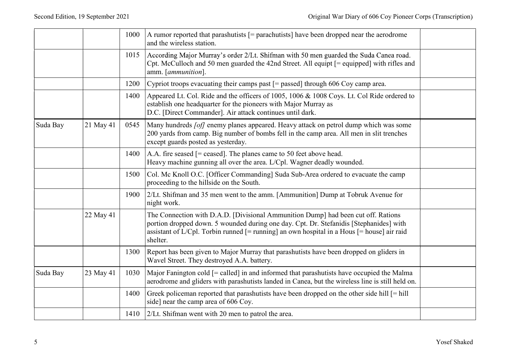| Second Edition, 19 September 2021 |           |      |                                                                                                                                                                                                                                                                                           | Original War Diary of 606 Coy Pioneer Corps (Transcription) |
|-----------------------------------|-----------|------|-------------------------------------------------------------------------------------------------------------------------------------------------------------------------------------------------------------------------------------------------------------------------------------------|-------------------------------------------------------------|
|                                   |           | 1000 | A rumor reported that parashutists $[=$ parachutists] have been dropped near the aerodrome<br>and the wireless station.                                                                                                                                                                   |                                                             |
|                                   |           | 1015 | According Major Murray's order 2/Lt. Shifman with 50 men guarded the Suda Canea road.<br>Cpt. McCulloch and 50 men guarded the 42nd Street. All equipt [= equipped] with rifles and<br>amm. [ <i>ammunition</i> ].                                                                        |                                                             |
|                                   |           | 1200 | Cypriot troops evacuating their camps past $[=$ passed] through 606 Coy camp area.                                                                                                                                                                                                        |                                                             |
|                                   |           | 1400 | Appeared Lt. Col. Ride and the officers of 1005, 1006 & 1008 Coys. Lt. Col Ride ordered to<br>establish one headquarter for the pioneers with Major Murray as<br>D.C. [Direct Commander]. Air attack continues until dark.                                                                |                                                             |
| Suda Bay                          | 21 May 41 | 0545 | Many hundreds [of] enemy planes appeared. Heavy attack on petrol dump which was some<br>200 yards from camp. Big number of bombs fell in the camp area. All men in slit trenches<br>except guards posted as yesterday.                                                                    |                                                             |
|                                   |           | 1400 | $ A.A.$ fire seased $[=$ ceased]. The planes came to 50 feet above head.<br>Heavy machine gunning all over the area. L/Cpl. Wagner deadly wounded.                                                                                                                                        |                                                             |
|                                   |           | 1500 | Col. Mc Knoll O.C. [Officer Commanding] Suda Sub-Area ordered to evacuate the camp<br>proceeding to the hillside on the South.                                                                                                                                                            |                                                             |
|                                   |           | 1900 | 2/Lt. Shifman and 35 men went to the amm. [Ammunition] Dump at Tobruk Avenue for<br>night work.                                                                                                                                                                                           |                                                             |
|                                   | 22 May 41 |      | The Connection with D.A.D. [Divisional Ammunition Dump] had been cut off. Rations<br>portion dropped down. 5 wounded during one day. Cpt. Dr. Stefanidis [Stephanides] with<br>assistant of L/Cpl. Torbin runned $[=$ running] an own hospital in a Hous $[=$ house] air raid<br>shelter. |                                                             |
|                                   |           | 1300 | Report has been given to Major Murray that parashutists have been dropped on gliders in<br>Wavel Street. They destroyed A.A. battery.                                                                                                                                                     |                                                             |
| Suda Bay                          | 23 May 41 | 1030 | Major Fanington cold $[=$ called] in and informed that parashutists have occupied the Malma<br>aerodrome and gliders with parashutists landed in Canea, but the wireless line is still held on.                                                                                           |                                                             |
|                                   |           | 1400 | Greek policeman reported that parashutists have been dropped on the other side hill $[=$ hill<br>side] near the camp area of 606 Coy.                                                                                                                                                     |                                                             |
|                                   |           | 1410 | 2/Lt. Shifman went with 20 men to patrol the area.                                                                                                                                                                                                                                        |                                                             |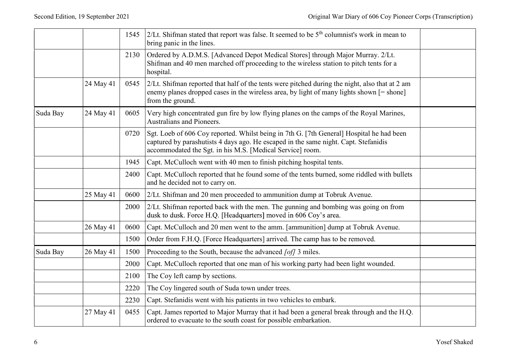|          |           |      |                                                                                                                                                                                                                                              | Original War Diary of 606 Coy Pioneer Corps (Transcription) |
|----------|-----------|------|----------------------------------------------------------------------------------------------------------------------------------------------------------------------------------------------------------------------------------------------|-------------------------------------------------------------|
|          |           | 1545 | 2/Lt. Shifman stated that report was false. It seemed to be $5th$ columnist's work in mean to<br>bring panic in the lines.                                                                                                                   |                                                             |
|          |           | 2130 | Ordered by A.D.M.S. [Advanced Depot Medical Stores] through Major Murray. 2/Lt.<br>Shifman and 40 men marched off proceeding to the wireless station to pitch tents for a<br>hospital.                                                       |                                                             |
|          | 24 May 41 | 0545 | $2/Lt$ . Shifman reported that half of the tents were pitched during the night, also that at 2 am<br>enemy planes dropped cases in the wireless area, by light of many lights shown [= shone]<br>from the ground.                            |                                                             |
| Suda Bay | 24 May 41 | 0605 | Very high concentrated gun fire by low flying planes on the camps of the Royal Marines,<br>Australians and Pioneers.                                                                                                                         |                                                             |
|          |           | 0720 | Sgt. Loeb of 606 Coy reported. Whilst being in 7th G. [7th General] Hospital he had been<br>captured by parashutists 4 days ago. He escaped in the same night. Capt. Stefanidis<br>accommodated the Sgt. in his M.S. [Medical Service] room. |                                                             |
|          |           | 1945 | Capt. McCulloch went with 40 men to finish pitching hospital tents.                                                                                                                                                                          |                                                             |
|          |           | 2400 | Capt. McCulloch reported that he found some of the tents burned, some riddled with bullets<br>and he decided not to carry on.                                                                                                                |                                                             |
|          | 25 May 41 | 0600 | 2/Lt. Shifman and 20 men proceeded to ammunition dump at Tobruk Avenue.                                                                                                                                                                      |                                                             |
|          |           | 2000 | $2/Lt$ . Shifman reported back with the men. The gunning and bombing was going on from<br>dusk to dusk. Force H.Q. [Headquarters] moved in 606 Coy's area.                                                                                   |                                                             |
|          | 26 May 41 | 0600 | Capt. McCulloch and 20 men went to the amm. [ammunition] dump at Tobruk Avenue.                                                                                                                                                              |                                                             |
|          |           | 1500 | Order from F.H.Q. [Force Headquarters] arrived. The camp has to be removed.                                                                                                                                                                  |                                                             |
| Suda Bay | 26 May 41 | 1500 | Proceeding to the South, because the advanced [of] 3 miles.                                                                                                                                                                                  |                                                             |
|          |           | 2000 | Capt. McCulloch reported that one man of his working party had been light wounded.                                                                                                                                                           |                                                             |
|          |           | 2100 | The Coy left camp by sections.                                                                                                                                                                                                               |                                                             |
|          |           | 2220 | The Coy lingered south of Suda town under trees.                                                                                                                                                                                             |                                                             |
|          |           | 2230 | Capt. Stefanidis went with his patients in two vehicles to embark.                                                                                                                                                                           |                                                             |
|          | 27 May 41 | 0455 | Capt. James reported to Major Murray that it had been a general break through and the H.Q.<br>ordered to evacuate to the south coast for possible embarkation.                                                                               |                                                             |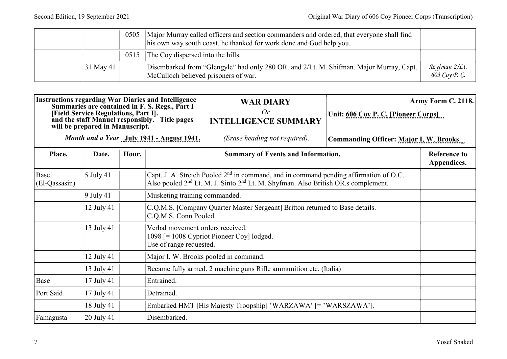| Second Edition, 19 September 2021                           |  |  |           | 0505 | Major Murray called officers and section commanders and ordered, that everyone shall find<br>his own way south coast, he thanked for work done and God help you. |                                     |
|-------------------------------------------------------------|--|--|-----------|------|------------------------------------------------------------------------------------------------------------------------------------------------------------------|-------------------------------------|
| Original War Diary of 606 Coy Pioneer Corps (Transcription) |  |  |           | 0515 | The Coy dispersed into the hills.                                                                                                                                |                                     |
|                                                             |  |  | 31 May 41 |      | Disembarked from "Glengyle" had only 280 OR. and 2/Lt. M. Shifman. Major Murray, Capt.<br>McCulloch believed prisoners of war.                                   | $Szyfman$ $2/Lt$ .<br>603 Соу Р. С. |

|                       | 31 May 41   |       | McCulloch believed prisoners of war.                                                                                                                                                                                                      | Disembarked from "Glengyle" had only 280 OR. and 2/Lt. M. Shifman. Major Murray, Capt.                                                                                                                         |                                               | Szyfman 2/Lt.<br>603 Соу Р. С.     |  |
|-----------------------|-------------|-------|-------------------------------------------------------------------------------------------------------------------------------------------------------------------------------------------------------------------------------------------|----------------------------------------------------------------------------------------------------------------------------------------------------------------------------------------------------------------|-----------------------------------------------|------------------------------------|--|
|                       |             |       | <b>Instructions regarding War Diaries and Intelligence<br/>Summaries are contained in F. S. Regs., Part I</b><br>[Field Service Regulations, Part I].<br>and the staff Manuel responsibly. Title pages<br>will be prepared in Manuscript. | <b>WAR DIARY</b><br>Or<br><b>INTELLIGENCE SUMMARY</b>                                                                                                                                                          | Unit: 606 Coy P. C. [Pioneer Corps]           | Army Form C. 2118.                 |  |
|                       |             |       | Month and a Year  July 1941 - August 1941.                                                                                                                                                                                                | (Erase heading not required).                                                                                                                                                                                  | <b>Commanding Officer: Major I. W. Brooks</b> |                                    |  |
| Place.                | Date.       | Hour. |                                                                                                                                                                                                                                           | Summary of Events and Information.                                                                                                                                                                             |                                               | <b>Reference to</b><br>Appendices. |  |
| Base<br>(El-Qassasin) | 5 July 41   |       |                                                                                                                                                                                                                                           | Capt. J. A. Stretch Pooled 2 <sup>nd</sup> in command, and in command pending affirmation of O.C.<br>Also pooled 2 <sup>nd</sup> Lt. M. J. Sinto 2 <sup>nd</sup> Lt. M. Shyfman. Also British OR.s complement. |                                               |                                    |  |
|                       | $9$ July 41 |       | Musketing training commanded.                                                                                                                                                                                                             |                                                                                                                                                                                                                |                                               |                                    |  |
|                       | 12 July 41  |       | C.Q.M.S. Conn Pooled.                                                                                                                                                                                                                     | C.Q.M.S. [Company Quarter Master Sergeant] Britton returned to Base details.                                                                                                                                   |                                               |                                    |  |
|                       | 13 July 41  |       | Verbal movement orders received.<br>Use of range requested.                                                                                                                                                                               | 1098 [= 1008 Cypriot Pioneer Coy] lodged.                                                                                                                                                                      |                                               |                                    |  |
|                       | 12 July 41  |       | Major I. W. Brooks pooled in command.                                                                                                                                                                                                     |                                                                                                                                                                                                                |                                               |                                    |  |
|                       | 13 July 41  |       | Became fully armed. 2 machine guns Rifle ammunition etc. (Italia)                                                                                                                                                                         |                                                                                                                                                                                                                |                                               |                                    |  |
| Base                  | 17 July 41  |       | Entrained.                                                                                                                                                                                                                                |                                                                                                                                                                                                                |                                               |                                    |  |
| Port Said             | 17 July 41  |       | Detrained.                                                                                                                                                                                                                                |                                                                                                                                                                                                                |                                               |                                    |  |
|                       | 18 July 41  |       |                                                                                                                                                                                                                                           | Embarked HMT [His Majesty Troopship] 'WARZAWA' [= 'WARSZAWA'].                                                                                                                                                 |                                               |                                    |  |
| Famagusta             | 20 July 41  |       | Disembarked.                                                                                                                                                                                                                              |                                                                                                                                                                                                                |                                               |                                    |  |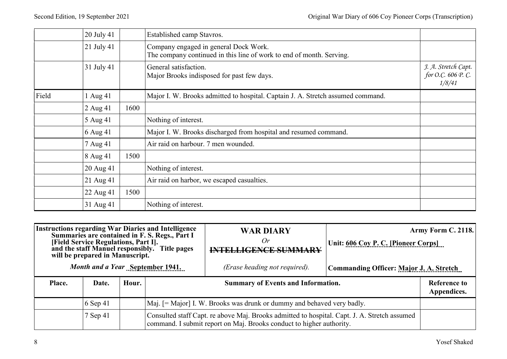|       | Second Edition, 19 September 2021 | Original War Diary of 606 Coy Pioneer Corps (Transcription)                                                   |                                                    |
|-------|-----------------------------------|---------------------------------------------------------------------------------------------------------------|----------------------------------------------------|
|       | 20 July 41                        | Established camp Stavros.                                                                                     |                                                    |
|       | 21 July 41                        | Company engaged in general Dock Work.<br>The company continued in this line of work to end of month. Serving. |                                                    |
|       | 31 July 41                        | General satisfaction.<br>Major Brooks indisposed for past few days.                                           | J. A. Stretch Capt.<br>for O.C. 606 P.C.<br>1/8/41 |
| Field | 1 Aug 41                          | Major I. W. Brooks admitted to hospital. Captain J. A. Stretch assumed command.                               |                                                    |
|       |                                   |                                                                                                               |                                                    |
|       | 1600<br>2 Aug 41                  |                                                                                                               |                                                    |
|       | 5 Aug 41                          | Nothing of interest.                                                                                          |                                                    |
|       | $6$ Aug 41                        | Major I. W. Brooks discharged from hospital and resumed command.                                              |                                                    |
|       | 7 Aug 41                          | Air raid on harbour. 7 men wounded.                                                                           |                                                    |
|       | 8 Aug 41                          | 1500                                                                                                          |                                                    |
|       | 20 Aug 41                         | Nothing of interest.                                                                                          |                                                    |
|       | 21 Aug 41                         | Air raid on harbor, we escaped casualties.                                                                    |                                                    |
|       | 22 Aug 41                         | 1500                                                                                                          |                                                    |

| 31 Aug 41<br>Nothing of interest.<br><b>WAR DIARY</b><br>Summaries are contained in F. S. Regs., Part I<br>Or<br>[Field Service Regulations, Part I].<br>Unit: 606 Coy P. C. [Pioneer Corps]<br>and the staff Manuel responsibly. Title pages<br><b>INTELLIGENCE SUMMARY</b><br>will be prepared in Manuscript.<br>Month and a Year September 1941.<br>(Erase heading not required).<br><b>Commanding Officer: Major J. A. Stretch</b><br>Place.<br><b>Summary of Events and Information.</b><br>Hour.<br><b>Reference to</b><br>Date.<br>Appendices.<br>$6$ Sep 41<br>Maj. [= Major] I. W. Brooks was drunk or dummy and behaved very badly.<br>7 Sep 41<br>Consulted staff Capt. re above Maj. Brooks admitted to hospital. Capt. J. A. Stretch assumed<br>command. I submit report on Maj. Brooks conduct to higher authority. | <b>Instructions regarding War Diaries and Intelligence</b><br>Army Form C. 2118.<br><b>Yosef Shaked</b> |  |
|-----------------------------------------------------------------------------------------------------------------------------------------------------------------------------------------------------------------------------------------------------------------------------------------------------------------------------------------------------------------------------------------------------------------------------------------------------------------------------------------------------------------------------------------------------------------------------------------------------------------------------------------------------------------------------------------------------------------------------------------------------------------------------------------------------------------------------------|---------------------------------------------------------------------------------------------------------|--|
|                                                                                                                                                                                                                                                                                                                                                                                                                                                                                                                                                                                                                                                                                                                                                                                                                                   |                                                                                                         |  |
|                                                                                                                                                                                                                                                                                                                                                                                                                                                                                                                                                                                                                                                                                                                                                                                                                                   |                                                                                                         |  |
|                                                                                                                                                                                                                                                                                                                                                                                                                                                                                                                                                                                                                                                                                                                                                                                                                                   |                                                                                                         |  |
|                                                                                                                                                                                                                                                                                                                                                                                                                                                                                                                                                                                                                                                                                                                                                                                                                                   |                                                                                                         |  |
|                                                                                                                                                                                                                                                                                                                                                                                                                                                                                                                                                                                                                                                                                                                                                                                                                                   |                                                                                                         |  |
|                                                                                                                                                                                                                                                                                                                                                                                                                                                                                                                                                                                                                                                                                                                                                                                                                                   |                                                                                                         |  |
|                                                                                                                                                                                                                                                                                                                                                                                                                                                                                                                                                                                                                                                                                                                                                                                                                                   |                                                                                                         |  |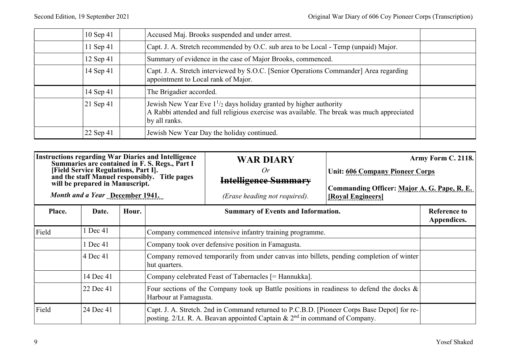| Original War Diary of 606 Coy Pioneer Corps (Transcription)                                                                                                                           |                                                                                                                 |  |
|---------------------------------------------------------------------------------------------------------------------------------------------------------------------------------------|-----------------------------------------------------------------------------------------------------------------|--|
| Accused Maj. Brooks suspended and under arrest.<br>Capt. J. A. Stretch recommended by O.C. sub area to be Local - Temp (unpaid) Major.                                                |                                                                                                                 |  |
| Summary of evidence in the case of Major Brooks, commenced.                                                                                                                           |                                                                                                                 |  |
| Capt. J. A. Stretch interviewed by S.O.C. [Senior Operations Commander] Area regarding<br>appointment to Local rank of Major.                                                         |                                                                                                                 |  |
| The Brigadier accorded.                                                                                                                                                               |                                                                                                                 |  |
| Jewish New Year Eve $1^{1/2}$ days holiday granted by higher authority<br>A Rabbi attended and full religious exercise was available. The break was much appreciated<br>by all ranks. | Second Edition, 19 September 2021<br>10 Sep 41<br>11 Sep 41<br>12 Sep 41<br>14 Sep 41<br>14 Sep 41<br>21 Sep 41 |  |

|        | 12 Sep 41                                                                                                  |       |                                                                                                                                                                             | Summary of evidence in the case of Major Brooks, commenced.                                                                                                          |                                                                                                            |                                    |
|--------|------------------------------------------------------------------------------------------------------------|-------|-----------------------------------------------------------------------------------------------------------------------------------------------------------------------------|----------------------------------------------------------------------------------------------------------------------------------------------------------------------|------------------------------------------------------------------------------------------------------------|------------------------------------|
|        | 14 Sep 41                                                                                                  |       | appointment to Local rank of Major.                                                                                                                                         | Capt. J. A. Stretch interviewed by S.O.C. [Senior Operations Commander] Area regarding                                                                               |                                                                                                            |                                    |
|        | 14 Sep 41                                                                                                  |       | The Brigadier accorded.                                                                                                                                                     |                                                                                                                                                                      |                                                                                                            |                                    |
|        | 21 Sep 41                                                                                                  |       | by all ranks.                                                                                                                                                               | Jewish New Year Eve $1^{1/2}$ days holiday granted by higher authority<br>A Rabbi attended and full religious exercise was available. The break was much appreciated |                                                                                                            |                                    |
|        | 22 Sep 41                                                                                                  |       |                                                                                                                                                                             | Jewish New Year Day the holiday continued.                                                                                                                           |                                                                                                            |                                    |
|        |                                                                                                            |       |                                                                                                                                                                             |                                                                                                                                                                      |                                                                                                            |                                    |
|        | [Field Service Regulations, Part I].<br>will be prepared in Manuscript.<br>Month and a Year December 1941. |       | <b>Instructions regarding War Diaries and Intelligence</b><br>Summaries are contained in F. S. Regs., Part I<br>and the staff Manuel responsibly. Title pages               | <b>WAR DIARY</b><br>Or<br><b>Intelligence Summary</b><br>(Erase heading not required).                                                                               | <b>Unit: 606 Company Pioneer Corps</b><br>Commanding Officer: Major A. G. Pape, R. E.<br>[Royal Engineers] | Army Form C. 2118.                 |
| Place. | Date.                                                                                                      | Hour. |                                                                                                                                                                             | <b>Summary of Events and Information.</b>                                                                                                                            |                                                                                                            | <b>Reference to</b><br>Appendices. |
| Field  | 1 Dec 41                                                                                                   |       |                                                                                                                                                                             | Company commenced intensive infantry training programme.                                                                                                             |                                                                                                            |                                    |
|        | 1 Dec 41                                                                                                   |       |                                                                                                                                                                             | Company took over defensive position in Famagusta.                                                                                                                   |                                                                                                            |                                    |
|        | $ 4$ Dec 41                                                                                                |       | hut quarters.                                                                                                                                                               | Company removed temporarily from under canvas into billets, pending completion of winter                                                                             |                                                                                                            |                                    |
|        | 14 Dec 41                                                                                                  |       | Company celebrated Feast of Tabernacles [= Hannukka].                                                                                                                       |                                                                                                                                                                      |                                                                                                            |                                    |
|        | 22 Dec 41                                                                                                  |       | Harbour at Famagusta.                                                                                                                                                       | Four sections of the Company took up Battle positions in readiness to defend the docks $\&$                                                                          |                                                                                                            |                                    |
|        | 24 Dec 41                                                                                                  |       | Capt. J. A. Stretch. 2nd in Command returned to P.C.B.D. [Pioneer Corps Base Depot] for re-<br>posting. 2/Lt. R. A. Beavan appointed Captain & $2nd$ in command of Company. |                                                                                                                                                                      |                                                                                                            |                                    |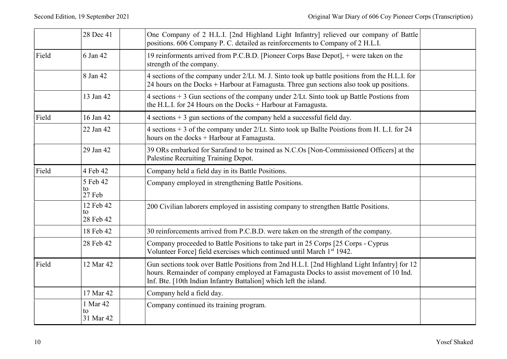|       | 28 Dec 41                    | One Company of 2 H.L.I. [2nd Highland Light Infantry] relieved our company of Battle<br>positions. 606 Company P. C. detailed as reinforcements to Company of 2 H.L.I.                                                                                     |
|-------|------------------------------|------------------------------------------------------------------------------------------------------------------------------------------------------------------------------------------------------------------------------------------------------------|
| Field | 6 Jan 42                     | 19 reinforments arrived from P.C.B.D. [Pioneer Corps Base Depot], + were taken on the<br>strength of the company.                                                                                                                                          |
|       | 8 Jan 42                     | 4 sections of the company under 2/Lt. M. J. Sinto took up battle positions from the H.L.I. for<br>24 hours on the Docks + Harbour at Famagusta. Three gun sections also took up positions.                                                                 |
|       | 13 Jan 42                    | 4 sections $+3$ Gun sections of the company under 2/Lt. Sinto took up Battle Postions from<br>the H.L.I. for 24 Hours on the Docks + Harbour at Famagusta.                                                                                                 |
| Field | 16 Jan 42                    | $4$ sections $+3$ gun sections of the company held a successful field day.                                                                                                                                                                                 |
|       | 22 Jan 42                    | 4 sections + 3 of the company under 2/Lt. Sinto took up Ballte Poistions from H. L.I. for 24<br>hours on the docks + Harbour at Famagusta.                                                                                                                 |
|       | 29 Jan 42                    | 39 ORs embarked for Sarafand to be trained as N.C.Os [Non-Commissioned Officers] at the<br>Palestine Recruiting Training Depot.                                                                                                                            |
| Field | 4 Feb 42                     | Company held a field day in its Battle Positions.                                                                                                                                                                                                          |
|       | 5 Feb 42<br>to<br>27 Feb     | Company employed in strengthening Battle Positions.                                                                                                                                                                                                        |
|       | 12 Feb 42<br>to<br>28 Feb 42 | 200 Civilian laborers employed in assisting company to strengthen Battle Positions.                                                                                                                                                                        |
|       | 18 Feb 42                    | 30 reinforcements arrived from P.C.B.D. were taken on the strength of the company.                                                                                                                                                                         |
|       | 28 Feb 42                    | Company proceeded to Battle Positions to take part in 25 Corps [25 Corps - Cyprus<br>Volunteer Force] field exercises which continued until March 1st 1942.                                                                                                |
| Field | 12 Mar 42                    | Gun sections took over Battle Positions from 2nd H.L.I. [2nd Highland Light Infantry] for 12<br>hours. Remainder of company employed at Famagusta Docks to assist movement of 10 Ind.<br>Inf. Bte. [10th Indian Infantry Battalion] which left the island. |
|       | 17 Mar 42                    | Company held a field day.                                                                                                                                                                                                                                  |
|       | 1 Mar 42<br>to<br>31 Mar 42  | Company continued its training program.                                                                                                                                                                                                                    |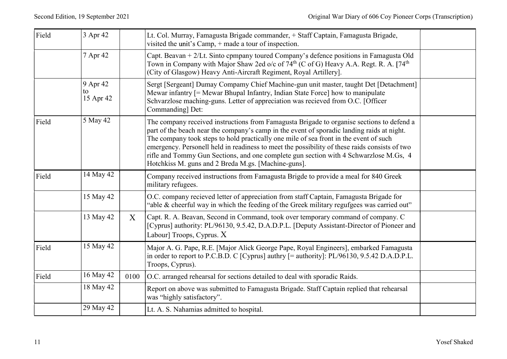| Field | 3 Apr 42                    |                  | Lt. Col. Murray, Famagusta Brigade commander, + Staff Captain, Famagusta Brigade,                                                                                                                                                                                                                                                                                                                                                                                                                                                 | Original War Diary of 606 Coy Pioneer Corps (Transcription) |
|-------|-----------------------------|------------------|-----------------------------------------------------------------------------------------------------------------------------------------------------------------------------------------------------------------------------------------------------------------------------------------------------------------------------------------------------------------------------------------------------------------------------------------------------------------------------------------------------------------------------------|-------------------------------------------------------------|
|       |                             |                  | visited the unit's Camp, + made a tour of inspection.                                                                                                                                                                                                                                                                                                                                                                                                                                                                             |                                                             |
|       | 7 Apr 42                    |                  | Capt. Beavan + 2/Lt. Sinto cpmpany toured Company's defence positions in Famagusta Old<br>Town in Company with Major Shaw 2ed o/c of $74^{\text{th}}$ (C of G) Heavy A.A. Regt. R. A. [74 <sup>th</sup><br>(City of Glasgow) Heavy Anti-Aircraft Regiment, Royal Artillery].                                                                                                                                                                                                                                                      |                                                             |
|       | 9 Apr 42<br>to<br>15 Apr 42 |                  | Sergt [Sergeant] Dumay Compamy Chief Machine-gun unit master, taught Det [Detachment]<br>Mewar infantry [= Mewar Bhupal Infantry, Indian State Force] how to manipulate<br>Schvarzlose maching-guns. Letter of appreciation was recieved from O.C. [Officer<br>Commanding] Det:                                                                                                                                                                                                                                                   |                                                             |
| Field | 5 May 42                    |                  | The company received instructions from Famagusta Brigade to organise sections to defend a<br>part of the beach near the company's camp in the event of sporadic landing raids at night.<br>The company took steps to hold practically one mile of sea front in the event of such<br>emergency. Personell held in readiness to meet the possibility of these raids consists of two<br>rifle and Tommy Gun Sections, and one complete gun section with 4 Schwarzlose M.Gs, 4<br>Hotchkiss M. guns and 2 Breda M.gs. [Machine-guns]. |                                                             |
| Field | 14 May 42                   |                  | Company received instructions from Famagusta Brigde to provide a meal for 840 Greek<br>military refugees.                                                                                                                                                                                                                                                                                                                                                                                                                         |                                                             |
|       | 15 May 42                   |                  | O.C. company recieved letter of appreciation from staff Captain, Famagusta Brigade for<br>'able & cheerful way in which the feeding of the Greek military regufgees was carried out"                                                                                                                                                                                                                                                                                                                                              |                                                             |
|       | 13 May 42                   | $\boldsymbol{X}$ | Capt. R. A. Beavan, Second in Command, took over temporary command of company. C<br>[Cyprus] authority: PL/96130, 9.5.42, D.A.D.P.L. [Deputy Assistant-Director of Pioneer and<br>Labour] Troops, Cyprus. X                                                                                                                                                                                                                                                                                                                       |                                                             |
| Field | 15 May 42                   |                  | Major A. G. Pape, R.E. [Major Alick George Pape, Royal Engineers], embarked Famagusta<br>in order to report to P.C.B.D. C [Cyprus] authry [= authority]: PL/96130, 9.5.42 D.A.D.P.L.<br>Troops, Cyprus).                                                                                                                                                                                                                                                                                                                          |                                                             |
| Field | 16 May 42                   | 0100             | O.C. arranged rehearsal for sections detailed to deal with sporadic Raids.                                                                                                                                                                                                                                                                                                                                                                                                                                                        |                                                             |
|       | 18 May 42                   |                  | Report on above was submitted to Famagusta Brigade. Staff Captain replied that rehearsal<br>was "highly satisfactory".                                                                                                                                                                                                                                                                                                                                                                                                            |                                                             |
|       | 29 May 42                   |                  | Lt. A. S. Nahamias admitted to hospital.                                                                                                                                                                                                                                                                                                                                                                                                                                                                                          |                                                             |